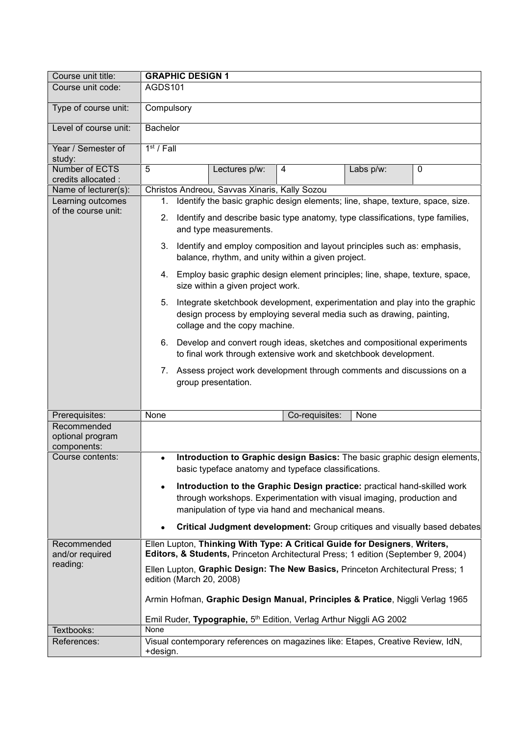| Course unit title:                             | <b>GRAPHIC DESIGN 1</b>                                                                                                                                                                                                |  |  |
|------------------------------------------------|------------------------------------------------------------------------------------------------------------------------------------------------------------------------------------------------------------------------|--|--|
| Course unit code:                              | AGDS101                                                                                                                                                                                                                |  |  |
| Type of course unit:                           | Compulsory                                                                                                                                                                                                             |  |  |
| Level of course unit:                          | Bachelor                                                                                                                                                                                                               |  |  |
| Year / Semester of<br>study:                   | $1st$ / Fall                                                                                                                                                                                                           |  |  |
| Number of ECTS<br>credits allocated :          | 5<br>$\mathbf 0$<br>Lectures p/w:<br>4<br>Labs p/w:                                                                                                                                                                    |  |  |
| Name of lecturer(s):                           | Christos Andreou, Savvas Xinaris, Kally Sozou                                                                                                                                                                          |  |  |
| Learning outcomes                              | Identify the basic graphic design elements; line, shape, texture, space, size.<br>1.                                                                                                                                   |  |  |
| of the course unit:                            | Identify and describe basic type anatomy, type classifications, type families,<br>2.<br>and type measurements.<br>Identify and employ composition and layout principles such as: emphasis,<br>3.                       |  |  |
|                                                | balance, rhythm, and unity within a given project.                                                                                                                                                                     |  |  |
|                                                | 4. Employ basic graphic design element principles; line, shape, texture, space,<br>size within a given project work.                                                                                                   |  |  |
|                                                | Integrate sketchbook development, experimentation and play into the graphic<br>5.<br>design process by employing several media such as drawing, painting,<br>collage and the copy machine.                             |  |  |
|                                                | 6. Develop and convert rough ideas, sketches and compositional experiments<br>to final work through extensive work and sketchbook development.                                                                         |  |  |
|                                                | 7. Assess project work development through comments and discussions on a<br>group presentation.                                                                                                                        |  |  |
| Prerequisites:                                 | None<br>Co-requisites:<br>None                                                                                                                                                                                         |  |  |
| Recommended<br>optional program<br>components: |                                                                                                                                                                                                                        |  |  |
| Course contents:                               | Introduction to Graphic design Basics: The basic graphic design elements,<br>basic typeface anatomy and typeface classifications.                                                                                      |  |  |
|                                                | Introduction to the Graphic Design practice: practical hand-skilled work<br>$\bullet$<br>through workshops. Experimentation with visual imaging, production and<br>manipulation of type via hand and mechanical means. |  |  |
|                                                | <b>Critical Judgment development:</b> Group critiques and visually based debates                                                                                                                                       |  |  |
| Recommended<br>and/or required                 | Ellen Lupton, Thinking With Type: A Critical Guide for Designers, Writers,<br>Editors, & Students, Princeton Architectural Press; 1 edition (September 9, 2004)                                                        |  |  |
| reading:                                       | Ellen Lupton, Graphic Design: The New Basics, Princeton Architectural Press; 1<br>edition (March 20, 2008)                                                                                                             |  |  |
|                                                | Armin Hofman, Graphic Design Manual, Principles & Pratice, Niggli Verlag 1965                                                                                                                                          |  |  |
| Textbooks:                                     | Emil Ruder, Typographie, 5 <sup>th</sup> Edition, Verlag Arthur Niggli AG 2002<br>None                                                                                                                                 |  |  |
| References:                                    | Visual contemporary references on magazines like: Etapes, Creative Review, IdN,                                                                                                                                        |  |  |
|                                                | +design.                                                                                                                                                                                                               |  |  |